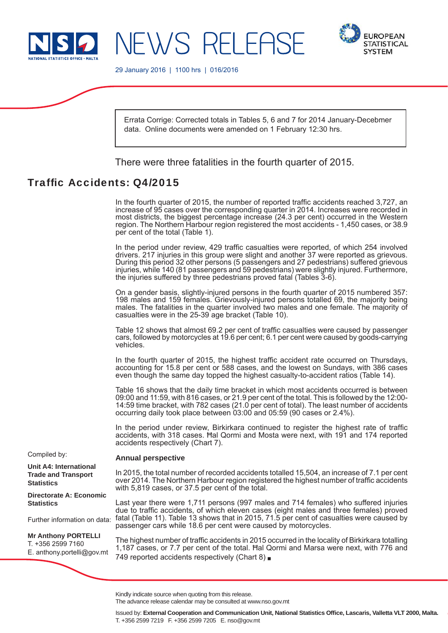



29 January 2016 | 1100 hrs | 016/2016

Errata Corrige: Corrected totals in Tables 5, 6 and 7 for 2014 January-Decebmer data. Online documents were amended on 1 February 12:30 hrs.

There were three fatalities in the fourth quarter of 2015.

# Traffic Accidents: Q4/2015

In the fourth quarter of 2015, the number of reported traffic accidents reached  $3.727$ , an increase of 95 cases over the corresponding quarter in 2014. Increases were recorded in most districts, the biggest percentage increase (24.3 per cent) occurred in the Western region. The Northern Harbour region registered the most accidents - 1,450 cases, or 38.9 per cent of the total (Table 1).

In the period under review, 429 traffic casualties were reported, of which 254 involved drivers. 217 injuries in this group were slight and another 37 were reported as grievous. During this period 32 other persons (5 passengers and 27 pedestrians) suffered grievous injuries, while 140 (81 passengers and 59 pedestrians) were slightly injured. Furthermore, the injuries suffered by three pedestrians proved fatal (Tables 3-6).

On a gender basis, slightly-injured persons in the fourth quarter of 2015 numbered 357: 198 males and 159 females. Grievously-injured persons totalled 69, the majority being males. The fatalities in the quarter involved two males and one female. The majority of casualties were in the 25-39 age bracket (Table 10).

Table 12 shows that almost 69.2 per cent of traffic casualties were caused by passenger cars, followed by motorcycles at 19.6 per cent; 6.1 per cent were caused by goods-carrying vehicles.

In the fourth quarter of 2015, the highest traffic accident rate occurred on Thursdays, accounting for 15.8 per cent or 588 cases, and the lowest on Sundays, with 386 cases even though the same day topped the highest casualty-to-accident ratios (Table 14).

Table 16 shows that the daily time bracket in which most accidents occurred is between 09:00 and 11:59, with 816 cases, or 21.9 per cent of the total. This is followed by the 12:00- 14:59 time bracket, with 782 cases (21.0 per cent of total). The least number of accidents occurring daily took place between 03:00 and 05:59 (90 cases or 2.4%).

In the period under review, Birkirkara continued to register the highest rate of traffic accidents, with 318 cases. Ħal Qormi and Mosta were next, with 191 and 174 reported accidents respectively (Chart 7).

### **Annual perspective**

In 2015, the total number of recorded accidents totalled 15,504, an increase of 7.1 per cent over 2014. The Northern Harbour region registered the highest number of traffic accidents with 5,819 cases, or 37.5 per cent of the total.

Last year there were 1,711 persons (997 males and 714 females) who suffered injuries due to traffic accidents, of which eleven cases (eight males and three females) proved fatal (Table 11). Table 13 shows that in 2015, 71.5 per cent of casualties were caused by passenger cars while 18.6 per cent were caused by motorcycles.

The highest number of traffic accidents in 2015 occurred in the locality of Birkirkara totalling 1,187 cases, or 7.7 per cent of the total. Ħal Qormi and Marsa were next, with 776 and 749 reported accidents respectively (Chart 8)

Compiled by:

**Unit A4: International Trade and Transport Statistics** 

**Directorate A: Economic Statistics**

Further information on data:

**Mr Anthony PORTELLI** T. +356 2599 7160 E. anthony.portelli@gov.mt

The advance release calendar may be consulted at www.nso.gov.mt

Kindly indicate source when quoting from this release.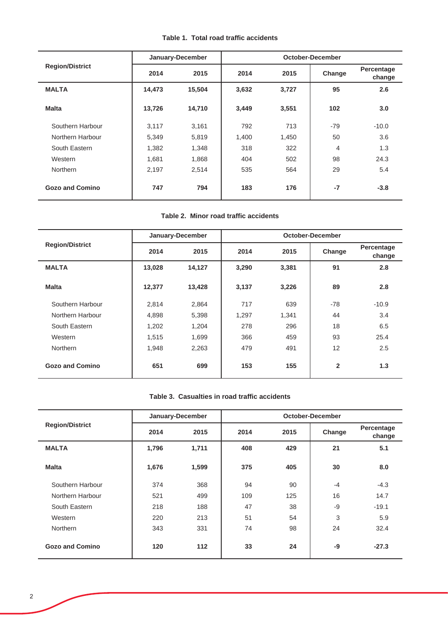|  |  | Table 1. Total road traffic accidents |
|--|--|---------------------------------------|
|  |  |                                       |

|                        |        | January-December |       |       | October-December |                      |
|------------------------|--------|------------------|-------|-------|------------------|----------------------|
| <b>Region/District</b> | 2014   | 2015             | 2014  | 2015  | Change           | Percentage<br>change |
| <b>MALTA</b>           | 14,473 | 15,504           | 3,632 | 3,727 | 95               | 2.6                  |
| <b>Malta</b>           | 13,726 | 14,710           | 3,449 | 3,551 | 102              | 3.0                  |
| Southern Harbour       | 3,117  | 3,161            | 792   | 713   | $-79$            | $-10.0$              |
| Northern Harbour       | 5,349  | 5,819            | 1,400 | 1,450 | 50               | 3.6                  |
| South Eastern          | 1,382  | 1,348            | 318   | 322   | 4                | 1.3                  |
| Western                | 1,681  | 1,868            | 404   | 502   | 98               | 24.3                 |
| <b>Northern</b>        | 2.197  | 2,514            | 535   | 564   | 29               | 5.4                  |
| <b>Gozo and Comino</b> | 747    | 794              | 183   | 176   | $-7$             | $-3.8$               |

## **Table 2. Minor road traffic accidents**

|                        |        | January-December |       |       | October-December |                      |
|------------------------|--------|------------------|-------|-------|------------------|----------------------|
| <b>Region/District</b> | 2014   | 2015             | 2014  | 2015  | Change           | Percentage<br>change |
| <b>MALTA</b>           | 13,028 | 14,127           | 3,290 | 3,381 | 91               | 2.8                  |
| <b>Malta</b>           | 12,377 | 13,428           | 3,137 | 3,226 | 89               | 2.8                  |
| Southern Harbour       | 2,814  | 2,864            | 717   | 639   | $-78$            | $-10.9$              |
| Northern Harbour       | 4,898  | 5,398            | 1,297 | 1,341 | 44               | 3.4                  |
| South Eastern          | 1,202  | 1,204            | 278   | 296   | 18               | 6.5                  |
| Western                | 1,515  | 1,699            | 366   | 459   | 93               | 25.4                 |
| Northern               | 1,948  | 2,263            | 479   | 491   | 12               | 2.5                  |
| <b>Gozo and Comino</b> | 651    | 699              | 153   | 155   | $\overline{2}$   | 1.3                  |

### **Table 3. Casualties in road traffic accidents**

|                        |       | January-December | <b>October-December</b> |      |        |                      |  |  |
|------------------------|-------|------------------|-------------------------|------|--------|----------------------|--|--|
| <b>Region/District</b> | 2014  | 2015             | 2014                    | 2015 | Change | Percentage<br>change |  |  |
| <b>MALTA</b>           | 1,796 | 1,711            | 408                     | 429  | 21     | 5.1                  |  |  |
| <b>Malta</b>           | 1,676 | 1,599            | 375                     | 405  | 30     | 8.0                  |  |  |
| Southern Harbour       | 374   | 368              | 94                      | 90   | $-4$   | $-4.3$               |  |  |
| Northern Harbour       | 521   | 499              | 109                     | 125  | 16     | 14.7                 |  |  |
| South Eastern          | 218   | 188              | 47                      | 38   | -9     | $-19.1$              |  |  |
| Western                | 220   | 213              | 51                      | 54   | 3      | 5.9                  |  |  |
| <b>Northern</b>        | 343   | 331              | 74                      | 98   | 24     | 32.4                 |  |  |
| Gozo and Comino        | 120   | 112              | 33                      | 24   | -9     | $-27.3$              |  |  |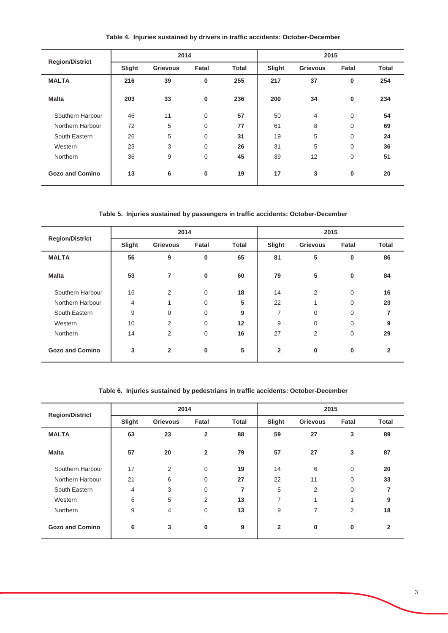| <b>Region/District</b> | 2014   |                 |             |              | 2015   |                 |                |              |
|------------------------|--------|-----------------|-------------|--------------|--------|-----------------|----------------|--------------|
|                        | Slight | <b>Grievous</b> | Fatal       | <b>Total</b> | Slight | <b>Grievous</b> | Fatal          | <b>Total</b> |
| <b>MALTA</b>           | 216    | 39              | 0           | 255          | 217    | 37              | 0              | 254          |
| <b>Malta</b>           | 203    | 33              | 0           | 236          | 200    | 34              | $\bf{0}$       | 234          |
| Southern Harbour       | 46     | 11              | 0           | 57           | 50     | $\overline{4}$  | 0              | 54           |
| Northern Harbour       | 72     | 5               | 0           | 77           | 61     | 8               | $\overline{0}$ | 69           |
| South Eastern          | 26     | 5               | 0           | 31           | 19     | 5               | $\overline{0}$ | 24           |
| Western                | 23     | 3               | 0           | 26           | 31     | 5               | $\mathbf 0$    | 36           |
| Northern               | 36     | 9               | 0           | 45           | 39     | 12              | $\mathbf 0$    | 51           |
| <b>Gozo and Comino</b> | 13     | 6               | $\mathbf 0$ | 19           | 17     | 3               | 0              | 20           |

**Table 4. Injuries sustained by drivers in traffic accidents: October-December**

**Table 5. Injuries sustained by passengers in traffic accidents: October-December**

|                        | 2014   |                 |                |              | 2015           |                 |       |              |
|------------------------|--------|-----------------|----------------|--------------|----------------|-----------------|-------|--------------|
| <b>Region/District</b> | Slight | <b>Grievous</b> | Fatal          | <b>Total</b> | Slight         | <b>Grievous</b> | Fatal | <b>Total</b> |
| <b>MALTA</b>           | 56     | 9               | 0              | 65           | 81             | 5               | 0     | 86           |
| <b>Malta</b>           | 53     | $\overline{7}$  | $\mathbf 0$    | 60           | 79             | 5               | 0     | 84           |
| Southern Harbour       | 16     | $\overline{2}$  | $\overline{0}$ | 18           | 14             | 2               | 0     | 16           |
| Northern Harbour       | 4      | 1               | $\overline{0}$ | 5            | 22             | 1               | 0     | 23           |
| South Eastern          | 9      | $\mathbf 0$     | $\mathbf 0$    | 9            | 7              | 0               | 0     | 7            |
| Western                | 10     | 2               | $\mathbf 0$    | 12           | 9              | 0               | 0     | 9            |
| Northern               | 14     | $\overline{2}$  | $\mathbf 0$    | 16           | 27             | $\overline{2}$  | 0     | 29           |
| <b>Gozo and Comino</b> | 3      | $\overline{2}$  | 0              | 5            | $\overline{2}$ | 0               | 0     | $\mathbf{2}$ |

**Table 6. Injuries sustained by pedestrians in traffic accidents: October-December**

| <b>Region/District</b> |                | 2014            |                |              |                | 2015            |              |              |
|------------------------|----------------|-----------------|----------------|--------------|----------------|-----------------|--------------|--------------|
|                        | Slight         | <b>Grievous</b> | Fatal          | <b>Total</b> | Slight         | <b>Grievous</b> | Fatal        | <b>Total</b> |
| <b>MALTA</b>           | 63             | 23              | $\overline{2}$ | 88           | 59             | 27              | 3            | 89           |
| <b>Malta</b>           | 57             | 20              | $\overline{2}$ | 79           | 57             | 27              | 3            | 87           |
| Southern Harbour       | 17             | 2               | $\mathbf 0$    | 19           | 14             | 6               | 0            | 20           |
| Northern Harbour       | 21             | 6               | 0              | 27           | 22             | 11              | 0            | 33           |
| South Eastern          | $\overline{4}$ | 3               | 0              | 7            | 5              | 2               | 0            | 7            |
| Western                | 6              | 5               | 2              | 13           | 7              | $\overline{ }$  | $\mathbf{1}$ | 9            |
| Northern               | 9              | 4               | $\mathbf 0$    | 13           | 9              | 7               | 2            | 18           |
| <b>Gozo and Comino</b> | 6              | 3               | $\bf{0}$       | 9            | $\overline{2}$ | $\bf{0}$        | 0            | $\mathbf{2}$ |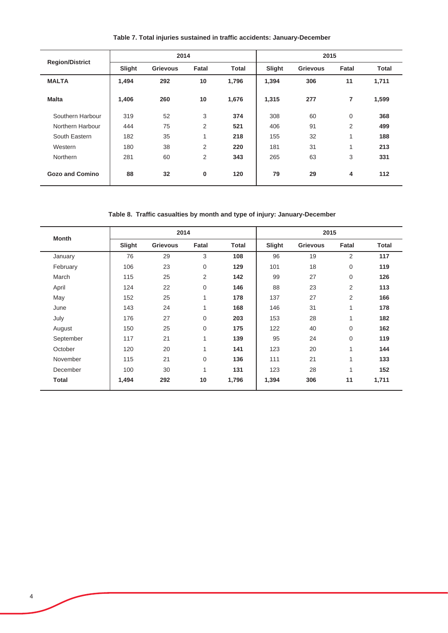| <b>Region/District</b> |        | 2014            |                |              | 2015   |                 |                         |              |
|------------------------|--------|-----------------|----------------|--------------|--------|-----------------|-------------------------|--------------|
|                        | Slight | <b>Grievous</b> | Fatal          | <b>Total</b> | Slight | <b>Grievous</b> | Fatal                   | <b>Total</b> |
| <b>MALTA</b>           | 1,494  | 292             | 10             | 1,796        | 1,394  | 306             | 11                      | 1,711        |
| <b>Malta</b>           | 1,406  | 260             | 10             | 1,676        | 1,315  | 277             | $\overline{7}$          | 1,599        |
| Southern Harbour       | 319    | 52              | 3              | 374          | 308    | 60              | 0                       | 368          |
| Northern Harbour       | 444    | 75              | $\overline{2}$ | 521          | 406    | 91              | 2                       | 499          |
| South Eastern          | 182    | 35              | 4              | 218          | 155    | 32              | $\overline{\mathbf{A}}$ | 188          |
| Western                | 180    | 38              | 2              | 220          | 181    | 31              |                         | 213          |
| <b>Northern</b>        | 281    | 60              | 2              | 343          | 265    | 63              | 3                       | 331          |
| <b>Gozo and Comino</b> | 88     | 32              | $\mathbf 0$    | 120          | 79     | 29              | 4                       | 112          |

**Table 7. Total injuries sustained in traffic accidents: January-December**

**Table 8. Traffic casualties by month and type of injury: January-December**

|              |        | 2014     |              |       |        | 2015            |              |              |  |
|--------------|--------|----------|--------------|-------|--------|-----------------|--------------|--------------|--|
| <b>Month</b> | Slight | Grievous | Fatal        | Total | Slight | <b>Grievous</b> | Fatal        | <b>Total</b> |  |
| January      | 76     | 29       | 3            | 108   | 96     | 19              | 2            | 117          |  |
| February     | 106    | 23       | $\mathbf 0$  | 129   | 101    | 18              | 0            | 119          |  |
| March        | 115    | 25       | 2            | 142   | 99     | 27              | $\mathbf 0$  | 126          |  |
| April        | 124    | 22       | $\mathbf 0$  | 146   | 88     | 23              | 2            | 113          |  |
| May          | 152    | 25       | $\mathbf{1}$ | 178   | 137    | 27              | 2            | 166          |  |
| June         | 143    | 24       | 1            | 168   | 146    | 31              | 1            | 178          |  |
| July         | 176    | 27       | $\mathbf 0$  | 203   | 153    | 28              | 1            | 182          |  |
| August       | 150    | 25       | $\mathbf 0$  | 175   | 122    | 40              | 0            | 162          |  |
| September    | 117    | 21       | 1            | 139   | 95     | 24              | $\mathbf 0$  | 119          |  |
| October      | 120    | 20       | 1            | 141   | 123    | 20              | 1            | 144          |  |
| November     | 115    | 21       | $\mathbf 0$  | 136   | 111    | 21              | $\mathbf{1}$ | 133          |  |
| December     | 100    | 30       | 1            | 131   | 123    | 28              | 1            | 152          |  |
| <b>Total</b> | 1,494  | 292      | 10           | 1,796 | 1,394  | 306             | 11           | 1,711        |  |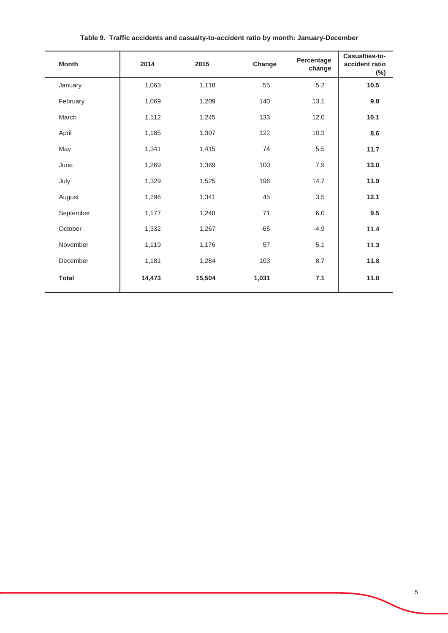| <b>Month</b> | 2014   | 2015   | Change | Percentage<br>change | Casualties-to-<br>accident ratio<br>$(\%)$ |
|--------------|--------|--------|--------|----------------------|--------------------------------------------|
| January      | 1,063  | 1,118  | 55     | 5.2                  | 10.5                                       |
| February     | 1,069  | 1,209  | 140    | 13.1                 | 9.8                                        |
| March        | 1,112  | 1,245  | 133    | 12.0                 | 10.1                                       |
| April        | 1,185  | 1,307  | 122    | 10.3                 | 8.6                                        |
| May          | 1,341  | 1,415  | 74     | 5.5                  | 11.7                                       |
| June         | 1,269  | 1,369  | 100    | 7.9                  | 13.0                                       |
| July         | 1,329  | 1,525  | 196    | 14.7                 | 11.9                                       |
| August       | 1,296  | 1,341  | 45     | 3.5                  | 12.1                                       |
| September    | 1,177  | 1,248  | 71     | 6.0                  | 9.5                                        |
| October      | 1,332  | 1,267  | $-65$  | $-4.9$               | 11.4                                       |
| November     | 1,119  | 1,176  | 57     | 5.1                  | 11.3                                       |
| December     | 1,181  | 1,284  | 103    | 8.7                  | 11.8                                       |
| <b>Total</b> | 14,473 | 15,504 | 1,031  | 7.1                  | 11.0                                       |

**Table 9. Traffic accidents and casualty-to-accident ratio by month: January-December**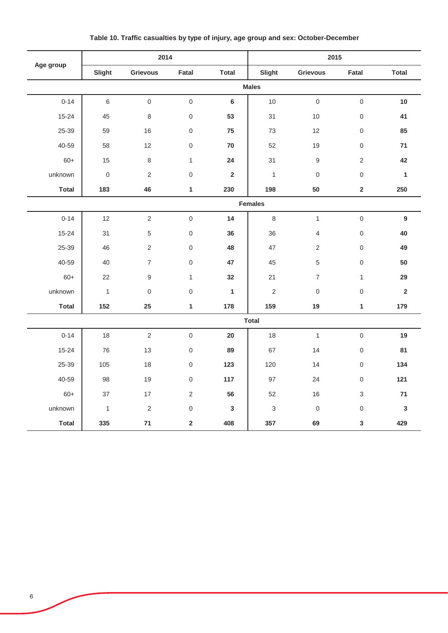|              |              | 2014            |                     |                | 2015           |                     |                     |              |  |  |
|--------------|--------------|-----------------|---------------------|----------------|----------------|---------------------|---------------------|--------------|--|--|
| Age group    | Slight       | <b>Grievous</b> | Fatal               | <b>Total</b>   | Slight         | <b>Grievous</b>     | Fatal               | <b>Total</b> |  |  |
|              |              |                 |                     |                | <b>Males</b>   |                     |                     |              |  |  |
| $0 - 14$     | $\,6\,$      | $\mathsf 0$     | $\mathbf 0$         | $6\phantom{1}$ | $10$           | $\mathbf 0$         | $\mathsf{O}\xspace$ | 10           |  |  |
| $15 - 24$    | 45           | 8               | $\mathsf{O}\xspace$ | 53             | 31             | 10                  | $\mathsf 0$         | 41           |  |  |
| 25-39        | 59           | 16              | $\mathsf{O}\xspace$ | 75             | 73             | 12                  | $\mathsf{O}\xspace$ | 85           |  |  |
| 40-59        | 58           | 12              | $\mathsf{O}\xspace$ | 70             | 52             | 19                  | $\mathbf 0$         | 71           |  |  |
| $60+$        | 15           | 8               | $\mathbf{1}$        | 24             | 31             | $\mathsf g$         | $\overline{2}$      | 42           |  |  |
| unknown      | $\mathbf 0$  | $\overline{2}$  | $\mathsf{O}\xspace$ | $\overline{2}$ | $\overline{1}$ | $\boldsymbol{0}$    | $\mathsf{O}\xspace$ | $\mathbf{1}$ |  |  |
| <b>Total</b> | 183          | 46              | $\mathbf{1}$        | 230            | 198            | 50                  | $\mathbf{2}$        | 250          |  |  |
|              |              | <b>Females</b>  |                     |                |                |                     |                     |              |  |  |
| $0 - 14$     | 12           | $\overline{2}$  | $\mathsf{O}\xspace$ | 14             | 8              | $\mathbf{1}$        | $\mathsf{O}\xspace$ | $9$          |  |  |
| 15-24        | 31           | 5               | $\,0\,$             | 36             | 36             | 4                   | $\mathsf 0$         | 40           |  |  |
| 25-39        | 46           | $\overline{2}$  | $\mathsf{O}\xspace$ | 48             | 47             | $\overline{2}$      | $\mathsf{O}\xspace$ | 49           |  |  |
| 40-59        | 40           | $\overline{7}$  | $\mathsf{O}\xspace$ | 47             | 45             | 5                   | $\mathsf{O}\xspace$ | 50           |  |  |
| $60+$        | 22           | 9               | $\mathbf{1}$        | 32             | 21             | $\overline{7}$      | $\mathbf{1}$        | 29           |  |  |
| unknown      | $\mathbf{1}$ | $\mathsf 0$     | $\mathsf{O}\xspace$ | $\mathbf{1}$   | $\overline{2}$ | $\mathsf{O}\xspace$ | $\mathsf{O}\xspace$ | $\mathbf 2$  |  |  |
| <b>Total</b> | 152          | 25              | $\mathbf{1}$        | 178            | 159            | 19                  | $\mathbf{1}$        | 179          |  |  |
|              |              |                 |                     |                | <b>Total</b>   |                     |                     |              |  |  |
| $0 - 14$     | 18           | $\overline{2}$  | $\mathbf 0$         | 20             | 18             | $\mathbf{1}$        | $\mathbf 0$         | 19           |  |  |
| $15 - 24$    | 76           | 13              | $\mathsf 0$         | 89             | 67             | 14                  | $\mathsf{O}\xspace$ | 81           |  |  |
| 25-39        | 105          | 18              | $\mathsf{O}\xspace$ | 123            | 120            | 14                  | $\mathbf 0$         | 134          |  |  |
| 40-59        | 98           | 19              | $\mathsf{O}\xspace$ | 117            | 97             | 24                  | $\mathsf{O}\xspace$ | 121          |  |  |
| $60+$        | 37           | $17$            | $\overline{2}$      | 56             | 52             | 16                  | $\mathfrak{S}$      | $\bf 71$     |  |  |
| unknown      | $\mathbf{1}$ | $\overline{2}$  | $\mathsf{O}\xspace$ | $\mathbf{3}$   | $\sqrt{3}$     | $\mathbf 0$         | $\mathsf 0$         | $\mathbf{3}$ |  |  |
| <b>Total</b> | 335          | $\bf 71$        | $\mathbf 2$         | 408            | 357            | 69                  | $\mathbf{3}$        | 429          |  |  |

**Table 10. Traffic casualties by type of injury, age group and sex: October-December**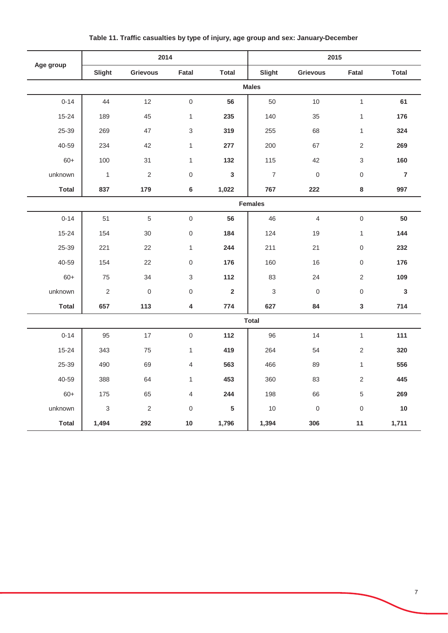|              |                | 2014             |                     |                 |                | 2015             |                     |                |  |  |
|--------------|----------------|------------------|---------------------|-----------------|----------------|------------------|---------------------|----------------|--|--|
| Age group    | Slight         | Grievous         | Fatal               | <b>Total</b>    | Slight         | Grievous         | Fatal               | <b>Total</b>   |  |  |
|              |                |                  |                     |                 | <b>Males</b>   |                  |                     |                |  |  |
| $0 - 14$     | 44             | 12               | $\mathsf{O}\xspace$ | 56              | 50             | 10               | $\mathbf{1}$        | 61             |  |  |
| $15 - 24$    | 189            | 45               | $\mathbf{1}$        | 235             | 140            | 35               | $\mathbf{1}$        | 176            |  |  |
| 25-39        | 269            | 47               | 3                   | 319             | 255            | 68               | $\mathbf{1}$        | 324            |  |  |
| 40-59        | 234            | 42               | $\mathbf{1}$        | 277             | 200            | 67               | $\overline{2}$      | 269            |  |  |
| $60+$        | 100            | 31               | $\mathbf{1}$        | 132             | 115            | 42               | 3                   | 160            |  |  |
| unknown      | $\overline{1}$ | $\overline{2}$   | $\mathsf{O}\xspace$ | $\mathbf{3}$    | $\overline{7}$ | $\overline{0}$   | $\mathsf{O}\xspace$ | $\overline{7}$ |  |  |
| <b>Total</b> | 837            | 179              | 6                   | 1,022           | 767            | 222              | $\bf 8$             | 997            |  |  |
|              |                | <b>Females</b>   |                     |                 |                |                  |                     |                |  |  |
| $0 - 14$     | 51             | $\sqrt{5}$       | $\mathsf{O}\xspace$ | 56              | 46             | $\overline{4}$   | $\mathsf{O}\xspace$ | 50             |  |  |
| 15-24        | 154            | 30               | $\,0\,$             | 184             | 124            | 19               | $\mathbf{1}$        | 144            |  |  |
| 25-39        | 221            | 22               | $\mathbf{1}$        | 244             | 211            | 21               | 0                   | 232            |  |  |
| 40-59        | 154            | 22               | $\mathsf{O}\xspace$ | 176             | 160            | 16               | $\mathsf{O}\xspace$ | 176            |  |  |
| $60+$        | 75             | 34               | $\mathfrak{S}$      | 112             | 83             | 24               | $\overline{2}$      | 109            |  |  |
| unknown      | $\sqrt{2}$     | $\boldsymbol{0}$ | $\mathsf{O}\xspace$ | $\overline{2}$  | 3              | $\boldsymbol{0}$ | 0                   | $\mathbf{3}$   |  |  |
| <b>Total</b> | 657            | 113              | 4                   | 774             | 627            | 84               | $\mathbf{3}$        | 714            |  |  |
|              |                |                  |                     |                 | <b>Total</b>   |                  |                     |                |  |  |
| $0 - 14$     | 95             | 17               | $\mathbf 0$         | 112             | 96             | 14               | $\mathbf{1}$        | 111            |  |  |
| $15 - 24$    | 343            | 75               | $\mathbf{1}$        | 419             | 264            | 54               | $\overline{2}$      | 320            |  |  |
| 25-39        | 490            | 69               | $\overline{4}$      | 563             | 466            | 89               | $\mathbf{1}$        | 556            |  |  |
| 40-59        | 388            | 64               | $\mathbf{1}$        | 453             | 360            | 83               | $\overline{2}$      | 445            |  |  |
| $60+$        | 175            | 65               | $\overline{4}$      | 244             | 198            | 66               | $\sqrt{5}$          | 269            |  |  |
| unknown      | $\mathbf{3}$   | 2                | $\mathbf 0$         | $5\phantom{.0}$ | 10             | $\mathbf 0$      | $\mathsf{O}\xspace$ | 10             |  |  |
| <b>Total</b> | 1,494          | 292              | $10\,$              | 1,796           | 1,394          | 306              | 11                  | 1,711          |  |  |

**Table 11. Traffic casualties by type of injury, age group and sex: January-December**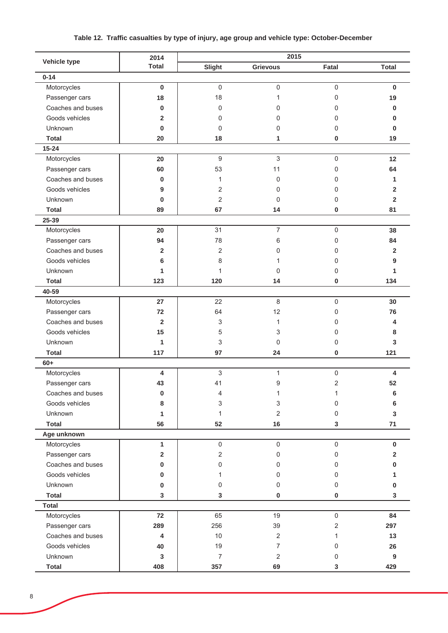# **Table 12. Traffic casualties by type of injury, age group and vehicle type: October-December**

|                   | 2014                    |                |                  | 2015  |              |
|-------------------|-------------------------|----------------|------------------|-------|--------------|
| Vehicle type      | <b>Total</b>            | Slight         | <b>Grievous</b>  | Fatal | <b>Total</b> |
| $0 - 14$          |                         |                |                  |       |              |
| Motorcycles       | 0                       | $\mathsf 0$    | 0                | 0     | 0            |
| Passenger cars    | 18                      | 18             | 1                | 0     | 19           |
| Coaches and buses | 0                       | 0              | 0                | 0     | 0            |
| Goods vehicles    | $\overline{\mathbf{2}}$ | 0              | 0                | 0     | 0            |
| Unknown           | 0                       | 0              | 0                | 0     | 0            |
| <b>Total</b>      | 20                      | 18             | 1                | 0     | 19           |
| $15 - 24$         |                         |                |                  |       |              |
| Motorcycles       | 20                      | 9              | $\mathfrak{Z}$   | 0     | 12           |
| Passenger cars    | 60                      | 53             | 11               | 0     | 64           |
| Coaches and buses | 0                       | 1              | $\mathbf 0$      | 0     | 1            |
| Goods vehicles    | 9                       | 2              | 0                | 0     | $\mathbf{2}$ |
| Unknown           | 0                       | 2              | 0                | 0     | $\mathbf{2}$ |
| <b>Total</b>      | 89                      | 67             | 14               | 0     | 81           |
| 25-39             |                         |                |                  |       |              |
| Motorcycles       | 20                      | 31             | $\overline{7}$   | 0     | 38           |
| Passenger cars    | 94                      | 78             | 6                | 0     | 84           |
| Coaches and buses | 2                       | 2              | 0                | 0     | $\mathbf{2}$ |
| Goods vehicles    | 6                       | 8              | 1                | 0     | 9            |
| Unknown           | 1                       | 1              | 0                | 0     | 1            |
| <b>Total</b>      | 123                     | 120            | 14               | 0     | 134          |
| 40-59             |                         |                |                  |       |              |
| Motorcycles       | 27                      | 22             | 8                | 0     | 30           |
| Passenger cars    | 72                      | 64             | 12               | 0     | 76           |
| Coaches and buses | $\overline{2}$          | 3              | 1                | 0     | 4            |
| Goods vehicles    | 15                      | 5              | 3                | 0     | 8            |
| Unknown           | 1                       | 3              | 0                | 0     | 3            |
| <b>Total</b>      | 117                     | 97             | 24               | 0     | 121          |
| $60+$             |                         |                |                  |       |              |
| Motorcycles       | 4                       | 3              | 1                | 0     | 4            |
| Passenger cars    | 43                      | 41             | 9                | 2     | 52           |
| Coaches and buses | 0                       | 4              | 1                | 1     | 6            |
| Goods vehicles    | 8                       | 3              | 3                | 0     | 6            |
| Unknown           | 1                       | 1              | 2                | 0     | 3            |
| <b>Total</b>      | 56                      | 52             | 16               | 3     | 71           |
| Age unknown       |                         |                |                  |       |              |
| Motorcycles       | 1                       | $\mathsf 0$    | $\boldsymbol{0}$ | 0     | $\mathbf 0$  |
| Passenger cars    | 2                       | $\overline{2}$ | 0                | 0     | $\mathbf{2}$ |
| Coaches and buses | 0                       | 0              | $\mathbf 0$      | 0     | 0            |
| Goods vehicles    | 0                       | 1              | 0                | 0     |              |
| Unknown           | 0                       | 0              | 0                | 0     | 0            |
| <b>Total</b>      | 3                       | 3              | 0                | 0     | 3            |
| <b>Total</b>      |                         |                |                  |       |              |
| Motorcycles       | 72                      | 65             | 19               | 0     | 84           |
| Passenger cars    | 289                     | 256            | 39               | 2     | 297          |
| Coaches and buses | 4                       | 10             | $\sqrt{2}$       | 1     | 13           |
| Goods vehicles    | 40                      | 19             | 7                | 0     | 26           |
| Unknown           | $\mathbf 3$             | 7              | 2                | 0     | 9            |
| <b>Total</b>      | 408                     | 357            | 69               | 3     | 429          |
|                   |                         |                |                  |       |              |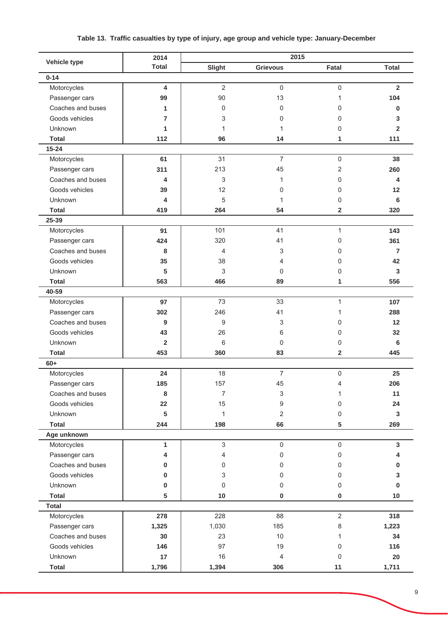# **Table 13. Traffic casualties by type of injury, age group and vehicle type: January-December**

|                   | 2014                    |                | 2015                |                         |                |
|-------------------|-------------------------|----------------|---------------------|-------------------------|----------------|
| Vehicle type      | <b>Total</b>            | Slight         | <b>Grievous</b>     | Fatal                   | <b>Total</b>   |
| $0 - 14$          |                         |                |                     |                         |                |
| Motorcycles       | 4                       | $\overline{2}$ | $\mathbf 0$         | $\mathsf 0$             | $\overline{2}$ |
| Passenger cars    | 99                      | 90             | 13                  | 1                       | 104            |
| Coaches and buses | 1                       | 0              | 0                   | 0                       | 0              |
| Goods vehicles    | 7                       | 3              | 0                   | 0                       | 3              |
| Unknown           | 1                       | 1              | 1                   | 0                       | $\mathbf{2}$   |
| <b>Total</b>      | 112                     | 96             | 14                  | 1                       | 111            |
| $15 - 24$         |                         |                |                     |                         |                |
| Motorcycles       | 61                      | 31             | $\overline{7}$      | 0                       | 38             |
| Passenger cars    | 311                     | 213            | 45                  | 2                       | 260            |
| Coaches and buses | 4                       | 3              | 1                   | 0                       | 4              |
| Goods vehicles    | 39                      | 12             | 0                   | 0                       | 12             |
| Unknown           | 4                       | 5              | 1                   | 0                       | 6              |
| <b>Total</b>      | 419                     | 264            | 54                  | $\overline{\mathbf{2}}$ | 320            |
| 25-39             |                         |                |                     |                         |                |
| Motorcycles       | 91                      | 101            | 41                  | $\mathbf{1}$            | 143            |
| Passenger cars    | 424                     | 320            | 41                  | 0                       | 361            |
| Coaches and buses | 8                       | 4              | 3                   | 0                       | 7              |
| Goods vehicles    | 35                      | 38             | 4                   | 0                       | 42             |
| Unknown           | 5                       | 3              | 0                   | 0                       | 3              |
| <b>Total</b>      | 563                     | 466            | 89                  | 1                       | 556            |
| 40-59             |                         |                |                     |                         |                |
| Motorcycles       | 97                      | 73             | 33                  | 1                       | 107            |
| Passenger cars    | 302                     | 246            | 41                  | 1                       | 288            |
| Coaches and buses | 9                       | 9              | 3                   | 0                       | 12             |
| Goods vehicles    | 43                      | 26             | 6                   | 0                       | 32             |
| Unknown           | $\overline{\mathbf{2}}$ | 6              | 0                   | 0                       | 6              |
| <b>Total</b>      | 453                     | 360            | 83                  | $\overline{\mathbf{2}}$ | 445            |
| $60+$             |                         |                |                     |                         |                |
| Motorcycles       | 24                      | 18             | 7                   | $\mathsf 0$             | 25             |
| Passenger cars    | 185                     | 157            | 45                  | $\overline{4}$          | 206            |
| Coaches and buses | 8                       | 7              | 3                   | 1                       | 11             |
| Goods vehicles    | 22                      | 15             | 9                   | 0                       | 24             |
| Unknown           | 5                       | 1              | 2                   | 0                       | $\mathbf{3}$   |
| <b>Total</b>      | 244                     | 198            | 66                  | 5                       | 269            |
| Age unknown       |                         |                |                     |                         |                |
| Motorcycles       | 1                       | 3              | $\mathsf{O}\xspace$ | $\mathsf{O}\xspace$     | $\mathbf{3}$   |
| Passenger cars    | 4                       | 4              | 0                   | 0                       | 4              |
| Coaches and buses | 0                       | 0              | 0                   | 0                       | 0              |
| Goods vehicles    | 0                       | 3              | 0                   | 0                       | 3              |
| Unknown           | 0                       | $\mathbf 0$    | 0                   | 0                       | $\bf{0}$       |
| <b>Total</b>      | 5                       | 10             | 0                   | 0                       | 10             |
| <b>Total</b>      |                         |                |                     |                         |                |
| Motorcycles       | 278                     | 228            | 88                  | $\sqrt{2}$              | 318            |
| Passenger cars    | 1,325                   | 1,030          | 185                 | 8                       | 1,223          |
| Coaches and buses | 30                      | 23             | 10                  | 1                       | 34             |
| Goods vehicles    | 146                     | 97             | 19                  | 0                       | 116            |
| Unknown           | 17                      | 16             | 4                   | $\mathbf 0$             | 20             |
| <b>Total</b>      | 1,796                   | 1,394          | 306                 | 11                      | 1,711          |
|                   |                         |                |                     |                         |                |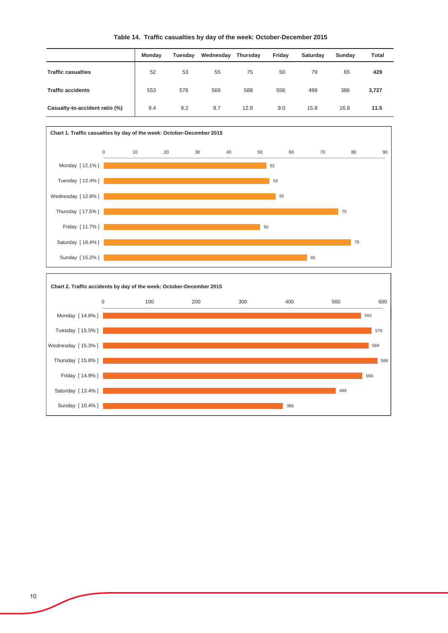|                                | <b>Monday</b> | Tuesday | Wednesday | Thursday | Friday | Saturday | Sunday | Total |
|--------------------------------|---------------|---------|-----------|----------|--------|----------|--------|-------|
| <b>Traffic casualties</b>      | 52            | 53      | 55        | 75       | 50     | 79       | 65     | 429   |
| <b>Traffic accidents</b>       | 553           | 576     | 569       | 588      | 556    | 499      | 386    | 3,727 |
| Casualty-to-accident ratio (%) | 9.4           | 9.2     | 9.7       | 12.8     | 9.0    | 15.8     | 16.8   | 11.5  |

#### **Table 14. Traffic casualties by day of the week: October-December 2015**



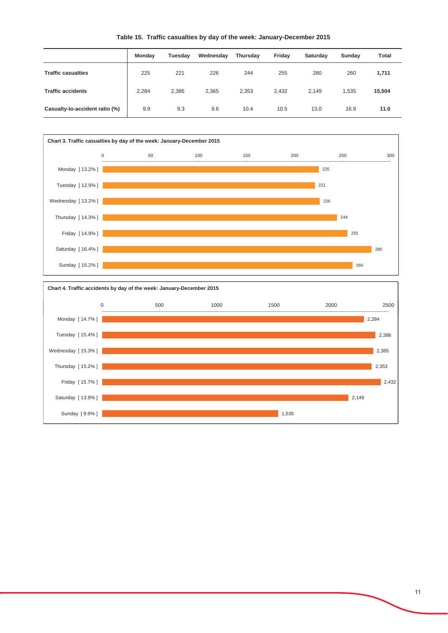| Table 15. Traffic casualties by day of the week: January-December 2015 |  |  |  |
|------------------------------------------------------------------------|--|--|--|
|                                                                        |  |  |  |

|                                | Monday | Tuesday | Wednesday | Thursday | Friday | Saturday | Sunday | Total  |
|--------------------------------|--------|---------|-----------|----------|--------|----------|--------|--------|
| <b>Traffic casualties</b>      | 225    | 221     | 226       | 244      | 255    | 280      | 260    | 1,711  |
| <b>Traffic accidents</b>       | 2,284  | 2,386   | 2,365     | 2,353    | 2,432  | 2,149    | 1,535  | 15,504 |
| Casualty-to-accident ratio (%) | 9.9    | 9.3     | 9.6       | 10.4     | 10.5   | 13.0     | 16.9   | 11.0   |



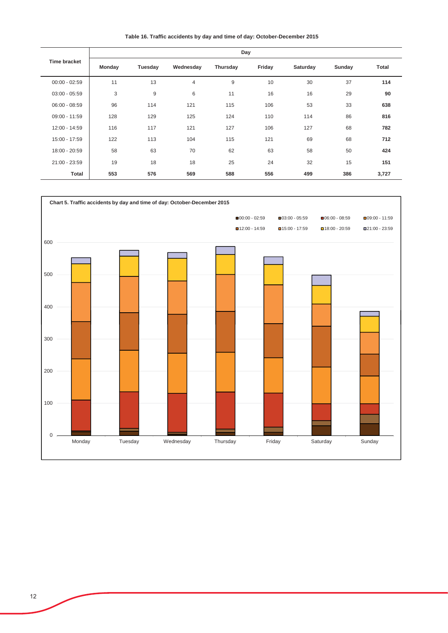**Table 16. Traffic accidents by day and time of day: October-December 2015**

|                 | Day           |         |                |          |        |          |        |              |  |  |
|-----------------|---------------|---------|----------------|----------|--------|----------|--------|--------------|--|--|
| Time bracket    | <b>Monday</b> | Tuesday | Wednesday      | Thursday | Friday | Saturday | Sunday | <b>Total</b> |  |  |
| $00:00 - 02:59$ | 11            | 13      | $\overline{4}$ | 9        | 10     | 30       | 37     | 114          |  |  |
| $03:00 - 05:59$ | 3             | 9       | 6              | 11       | 16     | 16       | 29     | 90           |  |  |
| $06:00 - 08:59$ | 96            | 114     | 121            | 115      | 106    | 53       | 33     | 638          |  |  |
| $09:00 - 11:59$ | 128           | 129     | 125            | 124      | 110    | 114      | 86     | 816          |  |  |
| 12:00 - 14:59   | 116           | 117     | 121            | 127      | 106    | 127      | 68     | 782          |  |  |
| 15:00 - 17:59   | 122           | 113     | 104            | 115      | 121    | 69       | 68     | 712          |  |  |
| 18:00 - 20:59   | 58            | 63      | 70             | 62       | 63     | 58       | 50     | 424          |  |  |
| 21:00 - 23:59   | 19            | 18      | 18             | 25       | 24     | 32       | 15     | 151          |  |  |
| <b>Total</b>    | 553           | 576     | 569            | 588      | 556    | 499      | 386    | 3,727        |  |  |

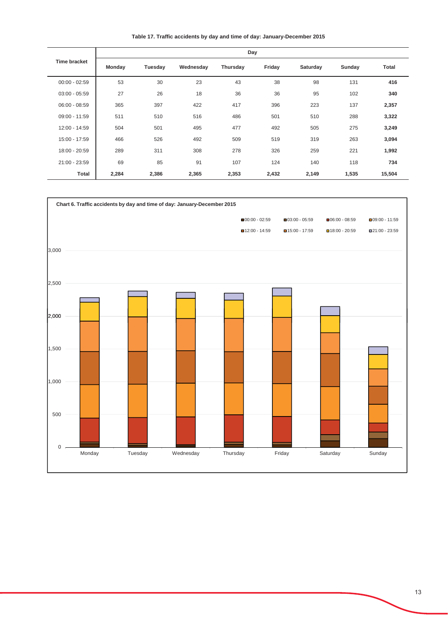**Table 17. Traffic accidents by day and time of day: January-December 2015**

|                 |        |         |           | Day             |        |          |        |              |
|-----------------|--------|---------|-----------|-----------------|--------|----------|--------|--------------|
| Time bracket    | Monday | Tuesday | Wednesday | <b>Thursday</b> | Friday | Saturday | Sunday | <b>Total</b> |
| $00:00 - 02:59$ | 53     | 30      | 23        | 43              | 38     | 98       | 131    | 416          |
| $03:00 - 05:59$ | 27     | 26      | 18        | 36              | 36     | 95       | 102    | 340          |
| $06:00 - 08:59$ | 365    | 397     | 422       | 417             | 396    | 223      | 137    | 2,357        |
| $09:00 - 11:59$ | 511    | 510     | 516       | 486             | 501    | 510      | 288    | 3,322        |
| 12:00 - 14:59   | 504    | 501     | 495       | 477             | 492    | 505      | 275    | 3,249        |
| 15:00 - 17:59   | 466    | 526     | 492       | 509             | 519    | 319      | 263    | 3,094        |
| 18:00 - 20:59   | 289    | 311     | 308       | 278             | 326    | 259      | 221    | 1,992        |
| 21:00 - 23:59   | 69     | 85      | 91        | 107             | 124    | 140      | 118    | 734          |
| Total           | 2,284  | 2,386   | 2,365     | 2,353           | 2,432  | 2,149    | 1,535  | 15,504       |

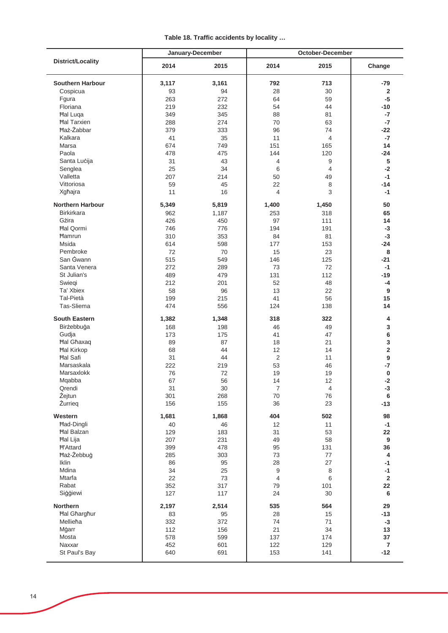|  |  | Table 18. Traffic accidents by locality |  |  |  |
|--|--|-----------------------------------------|--|--|--|
|--|--|-----------------------------------------|--|--|--|

|                                      |           | January-December |                      | October-December | Change<br>$-79$<br>$\overline{2}$ |  |  |  |
|--------------------------------------|-----------|------------------|----------------------|------------------|-----------------------------------|--|--|--|
| <b>District/Locality</b>             | 2014      | 2015             | 2014                 | 2015             |                                   |  |  |  |
| <b>Southern Harbour</b>              | 3,117     | 3,161            | 792                  | 713              |                                   |  |  |  |
| Cospicua                             | 93        | 94               | 28                   | 30               |                                   |  |  |  |
| Fgura                                | 263       | 272              | 64                   | 59               | $-5$                              |  |  |  |
| Floriana                             | 219       | 232              | 54                   | 44               | $-10$                             |  |  |  |
| <b>Hal Luga</b>                      | 349       | 345              | 88                   | 81               | $-7$                              |  |  |  |
| <b>Hal Tarxien</b>                   | 288       | 274              | 70                   | 63               | $-7$                              |  |  |  |
| <b>Haż-Żabbar</b>                    | 379       | 333              | 96                   | 74               | $-22$                             |  |  |  |
| Kalkara                              | 41        | 35               | 11                   | 4                | $-7$                              |  |  |  |
| Marsa                                | 674       | 749              | 151                  | 165              | 14                                |  |  |  |
| Paola                                | 478       | 475              | 144                  | 120              | $-24$                             |  |  |  |
| Santa Lucija                         | 31        | 43               | $\overline{4}$       | 9                | 5                                 |  |  |  |
| Senglea                              | 25        | 34               | 6                    | 4                | $-2$                              |  |  |  |
| Valletta                             | 207       | 214              | 50                   | 49               | $-1$                              |  |  |  |
| Vittoriosa                           | 59        | 45               | 22                   | 8                | $-14$                             |  |  |  |
| Xgħajra                              | 11        | 16               | $\overline{4}$       | 3                | $-1$                              |  |  |  |
| <b>Northern Harbour</b>              | 5,349     | 5,819            | 1,400                | 1,450            | 50                                |  |  |  |
| <b>Birkirkara</b>                    | 962       |                  | 253                  |                  | 65                                |  |  |  |
| Gżira                                | 426       | 1,187<br>450     | 97                   | 318<br>111       | 14                                |  |  |  |
| <b>Hal Qormi</b>                     | 746       | 776              | 194                  | 191              | $-3$                              |  |  |  |
| Hamrun                               | 310       | 353              | 84                   | 81               | $-3$                              |  |  |  |
| Msida                                | 614       | 598              | 177                  | 153              | $-24$                             |  |  |  |
| Pembroke                             | 72        | 70               | 15                   | 23               | 8                                 |  |  |  |
| San Gwann                            | 515       | 549              | 146                  | 125              | $-21$                             |  |  |  |
| Santa Venera                         | 272       | 289              | 73                   | 72               | $-1$                              |  |  |  |
| St Julian's                          | 489       | 479              | 131                  | 112              | $-19$                             |  |  |  |
| Swiegi                               | 212       | 201              | 52                   | 48               | -4                                |  |  |  |
| Ta' Xbiex                            | 58        | 96               | 13                   | 22               | 9                                 |  |  |  |
| Tal-Pietà                            | 199       | 215              | 41                   | 56               | 15                                |  |  |  |
| Tas-Sliema                           | 474       | 556              | 124                  | 138              | 14                                |  |  |  |
|                                      |           |                  |                      |                  |                                   |  |  |  |
| <b>South Eastern</b>                 | 1,382     | 1,348            | 318                  | 322              | 4                                 |  |  |  |
| Birżebbuġa                           | 168       | 198              | 46                   | 49               | 3                                 |  |  |  |
| Gudja                                | 173       | 175              | 41                   | 47               | 6                                 |  |  |  |
| <b>Hal Ghaxaq</b>                    | 89        | 87               | 18                   | 21               | 3                                 |  |  |  |
| <b>Hal Kirkop</b><br><b>Hal Safi</b> | 68<br>31  | 44<br>44         | 12<br>$\overline{2}$ | 14<br>11         | $\mathbf 2$<br>$\boldsymbol{9}$   |  |  |  |
| Marsaskala                           | 222       | 219              | 53                   | 46               | $-7$                              |  |  |  |
| Marsaxlokk                           | 76        | 72               | 19                   | 19               | $\pmb{0}$                         |  |  |  |
| Mgabba                               | 67        | 56               | 14                   | 12               | $-2$                              |  |  |  |
| Qrendi                               | 31        | 30               | $\boldsymbol{7}$     | 4                | $-3$                              |  |  |  |
| Żejtun                               | 301       | 268              | 70                   | 76               | 6                                 |  |  |  |
| Żurrieg                              | 156       | 155              | 36                   | 23               | $-13$                             |  |  |  |
| Western                              | 1,681     | 1,868            | 404                  | 502              | 98                                |  |  |  |
| <b>Had-Dingli</b>                    |           |                  | 12                   |                  | $-1$                              |  |  |  |
| <b>Hal Balzan</b>                    | 40<br>129 | 46<br>183        | 31                   | 11<br>53         | 22                                |  |  |  |
| <b>Hal Lija</b>                      | 207       | 231              | 49                   | 58               | $\boldsymbol{9}$                  |  |  |  |
| <b>H'Attard</b>                      | 399       | 478              | 95                   | 131              | 36                                |  |  |  |
| Haż-Żebbuġ                           | 285       | 303              | 73                   | 77               | $\overline{\mathbf{4}}$           |  |  |  |
| Iklin                                | 86        | 95               | 28                   | 27               | $-1$                              |  |  |  |
| Mdina                                | 34        | 25               | 9                    | 8                | $-1$                              |  |  |  |
| Mtarfa                               | 22        | 73               | $\overline{4}$       | 6                | $\overline{\mathbf{2}}$           |  |  |  |
| Rabat                                | 352       | 317              | 79                   | 101              | 22                                |  |  |  |
| Siģģiewi                             | 127       | 117              | 24                   | 30               | 6                                 |  |  |  |
| Northern                             | 2,197     | 2,514            | 535                  | 564              | 29                                |  |  |  |
| <b>Hal Gharghur</b>                  | 83        | 95               | 28                   | 15               | $-13$                             |  |  |  |
| Mellieħa                             | 332       | 372              | 74                   | 71               | $-3$                              |  |  |  |
| Mġarr                                | 112       | 156              | 21                   | 34               | 13                                |  |  |  |
| Mosta                                | 578       | 599              | 137                  | 174              | 37                                |  |  |  |
| Naxxar                               | 452       | 601              | 122                  | 129              | $\overline{7}$                    |  |  |  |
| St Paul's Bay                        | 640       | 691              | 153                  | 141              | $-12$                             |  |  |  |
|                                      |           |                  |                      |                  |                                   |  |  |  |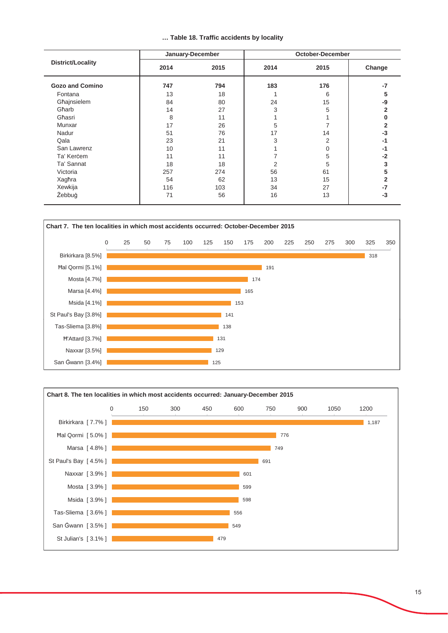|  |  |  |  | Table 18. Traffic accidents by locality |  |  |
|--|--|--|--|-----------------------------------------|--|--|
|--|--|--|--|-----------------------------------------|--|--|

|                        |      | January-December |      | October-December |        |
|------------------------|------|------------------|------|------------------|--------|
| District/Locality      | 2014 | 2015             | 2014 | 2015             | Change |
| <b>Gozo and Comino</b> | 747  | 794              | 183  | 176              | -7     |
| Fontana                | 13   | 18               |      | 6                | 5      |
| Għajnsielem            | 84   | 80               | 24   | 15               | -9     |
| Għarb                  | 14   | 27               | 3    | 5                | 2      |
| Għasri                 | 8    | 11               |      |                  |        |
| Munxar                 | 17   | 26               | 5    |                  | 2      |
| Nadur                  | 51   | 76               | 17   | 14               | -3     |
| Qala                   | 23   | 21               | 3    | 2                | -1     |
| San Lawrenz            | 10   | 11               |      | 0                | -1     |
| Ta' Kerċem             | 11   | 11               |      | 5                | $-2$   |
| Ta' Sannat             | 18   | 18               | 2    | 5                | 3      |
| Victoria               | 257  | 274              | 56   | 61               | 5      |
| Xagħra                 | 54   | 62               | 13   | 15               | 2      |
| Xewkija                | 116  | 103              | 34   | 27               | $-7$   |
| Żebbuġ                 | 71   | 56               | 16   | 13               | -3     |